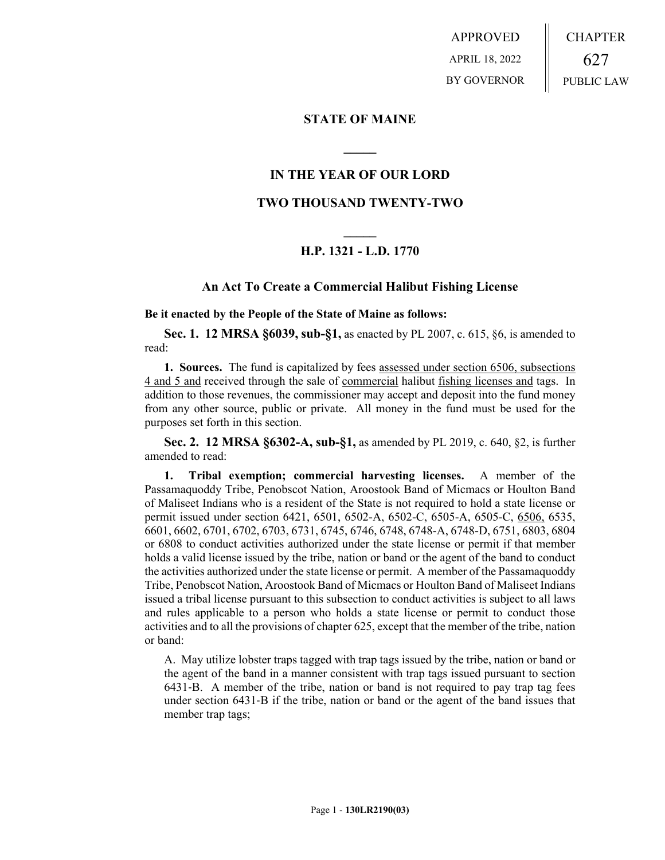APPROVED APRIL 18, 2022 BY GOVERNOR CHAPTER 627 PUBLIC LAW

## **STATE OF MAINE**

# **IN THE YEAR OF OUR LORD**

**\_\_\_\_\_**

# **TWO THOUSAND TWENTY-TWO**

# **\_\_\_\_\_ H.P. 1321 - L.D. 1770**

## **An Act To Create a Commercial Halibut Fishing License**

**Be it enacted by the People of the State of Maine as follows:**

**Sec. 1. 12 MRSA §6039, sub-§1,** as enacted by PL 2007, c. 615, §6, is amended to read:

**1. Sources.** The fund is capitalized by fees assessed under section 6506, subsections 4 and 5 and received through the sale of commercial halibut fishing licenses and tags. In addition to those revenues, the commissioner may accept and deposit into the fund money from any other source, public or private. All money in the fund must be used for the purposes set forth in this section.

**Sec. 2. 12 MRSA §6302-A, sub-§1,** as amended by PL 2019, c. 640, §2, is further amended to read:

**1. Tribal exemption; commercial harvesting licenses.** A member of the Passamaquoddy Tribe, Penobscot Nation, Aroostook Band of Micmacs or Houlton Band of Maliseet Indians who is a resident of the State is not required to hold a state license or permit issued under section 6421, 6501, 6502-A, 6502-C, 6505-A, 6505-C, 6506, 6535, 6601, 6602, 6701, 6702, 6703, 6731, 6745, 6746, 6748, 6748-A, 6748-D, 6751, 6803, 6804 or 6808 to conduct activities authorized under the state license or permit if that member holds a valid license issued by the tribe, nation or band or the agent of the band to conduct the activities authorized under the state license or permit. A member of the Passamaquoddy Tribe, Penobscot Nation, Aroostook Band of Micmacs or Houlton Band of Maliseet Indians issued a tribal license pursuant to this subsection to conduct activities is subject to all laws and rules applicable to a person who holds a state license or permit to conduct those activities and to all the provisions of chapter 625, except that the member of the tribe, nation or band:

A. May utilize lobster traps tagged with trap tags issued by the tribe, nation or band or the agent of the band in a manner consistent with trap tags issued pursuant to section 6431‑B. A member of the tribe, nation or band is not required to pay trap tag fees under section 6431‑B if the tribe, nation or band or the agent of the band issues that member trap tags;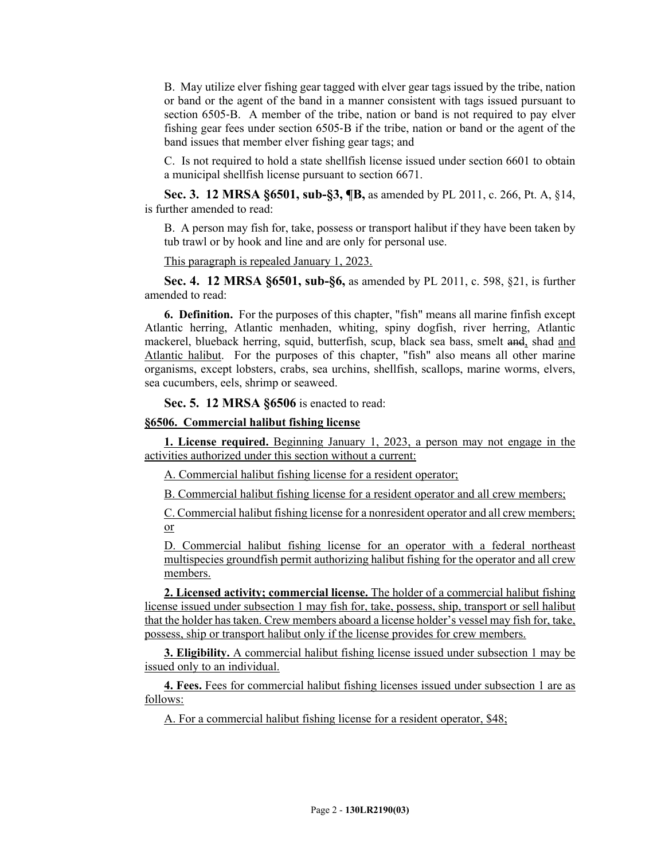B. May utilize elver fishing gear tagged with elver gear tags issued by the tribe, nation or band or the agent of the band in a manner consistent with tags issued pursuant to section 6505‑B. A member of the tribe, nation or band is not required to pay elver fishing gear fees under section 6505‑B if the tribe, nation or band or the agent of the band issues that member elver fishing gear tags; and

C. Is not required to hold a state shellfish license issued under section 6601 to obtain a municipal shellfish license pursuant to section 6671.

**Sec. 3. 12 MRSA §6501, sub-§3, ¶B,** as amended by PL 2011, c. 266, Pt. A, §14, is further amended to read:

B. A person may fish for, take, possess or transport halibut if they have been taken by tub trawl or by hook and line and are only for personal use.

This paragraph is repealed January 1, 2023.

**Sec. 4. 12 MRSA §6501, sub-§6,** as amended by PL 2011, c. 598, §21, is further amended to read:

**6. Definition.** For the purposes of this chapter, "fish" means all marine finfish except Atlantic herring, Atlantic menhaden, whiting, spiny dogfish, river herring, Atlantic mackerel, blueback herring, squid, butterfish, scup, black sea bass, smelt and, shad and Atlantic halibut. For the purposes of this chapter, "fish" also means all other marine organisms, except lobsters, crabs, sea urchins, shellfish, scallops, marine worms, elvers, sea cucumbers, eels, shrimp or seaweed.

**Sec. 5. 12 MRSA §6506** is enacted to read:

## **§6506. Commercial halibut fishing license**

**1. License required.** Beginning January 1, 2023, a person may not engage in the activities authorized under this section without a current:

A. Commercial halibut fishing license for a resident operator;

B. Commercial halibut fishing license for a resident operator and all crew members;

C. Commercial halibut fishing license for a nonresident operator and all crew members; or

D. Commercial halibut fishing license for an operator with a federal northeast multispecies groundfish permit authorizing halibut fishing for the operator and all crew members.

**2. Licensed activity; commercial license.** The holder of a commercial halibut fishing license issued under subsection 1 may fish for, take, possess, ship, transport or sell halibut that the holder has taken. Crew members aboard a license holder's vessel may fish for, take, possess, ship or transport halibut only if the license provides for crew members.

**3. Eligibility.** A commercial halibut fishing license issued under subsection 1 may be issued only to an individual.

**4. Fees.** Fees for commercial halibut fishing licenses issued under subsection 1 are as follows:

A. For a commercial halibut fishing license for a resident operator, \$48;